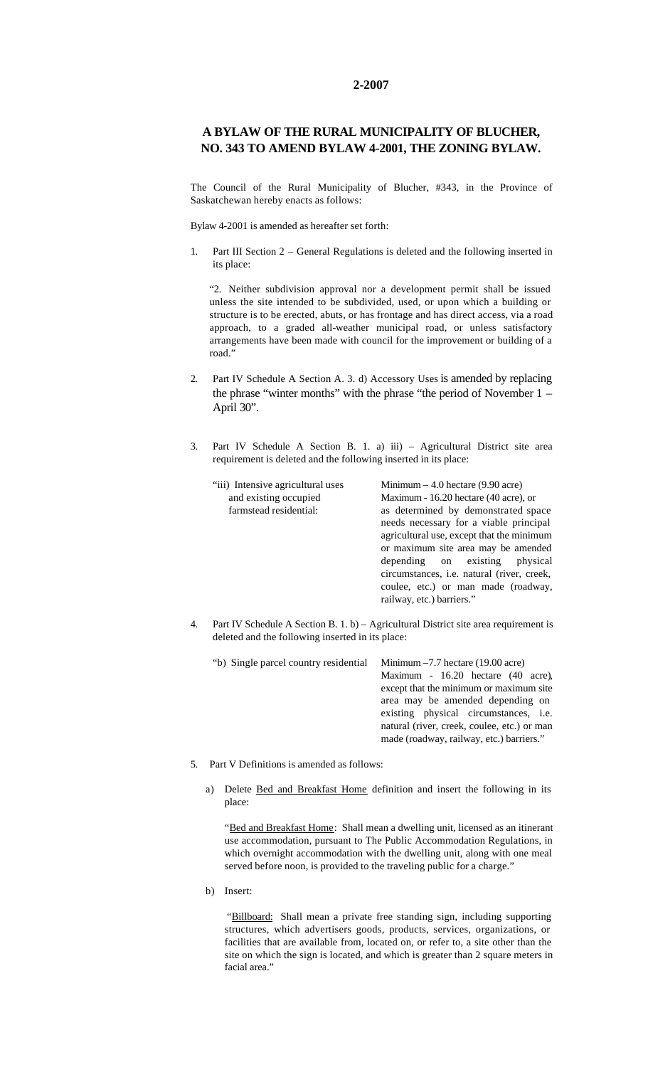## **2-2007**

## **A BYLAW OF THE RURAL MUNICIPALITY OF BLUCHER, NO. 343 TO AMEND BYLAW 4-2001, THE ZONING BYLAW.**

The Council of the Rural Municipality of Blucher, #343, in the Province of Saskatchewan hereby enacts as follows:

Bylaw 4-2001 is amended as hereafter set forth:

1. Part III Section 2 – General Regulations is deleted and the following inserted in its place:

"2. Neither subdivision approval nor a development permit shall be issued unless the site intended to be subdivided, used, or upon which a building or structure is to be erected, abuts, or has frontage and has direct access, via a road approach, to a graded all-weather municipal road, or unless satisfactory arrangements have been made with council for the improvement or building of a road."

- 2. Part IV Schedule A Section A. 3. d) Accessory Uses is amended by replacing the phrase "winter months" with the phrase "the period of November 1 – April 30".
- 3. Part IV Schedule A Section B. 1. a) iii) Agricultural District site area requirement is deleted and the following inserted in its place:

| "iii) Intensive agricultural uses | Minimum $-4.0$ hectare (9.90 acre)         |
|-----------------------------------|--------------------------------------------|
| and existing occupied             | Maximum - 16.20 hectare (40 acre), or      |
| farmstead residential:            | as determined by demonstrated space        |
|                                   | needs necessary for a viable principal     |
|                                   | agricultural use, except that the minimum  |
|                                   | or maximum site area may be amended        |
|                                   | depending on existing<br>physical          |
|                                   | circumstances, i.e. natural (river, creek, |
|                                   | coulee, etc.) or man made (roadway,        |
|                                   | railway, etc.) barriers."                  |
|                                   |                                            |

4. Part IV Schedule A Section B. 1. b) – Agricultural District site area requirement is deleted and the following inserted in its place:

"b) Single parcel country residential Minimum –7.7 hectare (19.00 acre) Maximum - 16.20 hectare (40 acre), except that the minimum or maximum site area may be amended depending on existing physical circumstances, i.e. natural (river, creek, coulee, etc.) or man made (roadway, railway, etc.) barriers."

- 5. Part V Definitions is amended as follows:
	- a) Delete Bed and Breakfast Home definition and insert the following in its place:

"Bed and Breakfast Home: Shall mean a dwelling unit, licensed as an itinerant use accommodation, pursuant to The Public Accommodation Regulations, in which overnight accommodation with the dwelling unit, along with one meal served before noon, is provided to the traveling public for a charge."

b) Insert:

"Billboard: Shall mean a private free standing sign, including supporting structures, which advertisers goods, products, services, organizations, or facilities that are available from, located on, or refer to, a site other than the site on which the sign is located, and which is greater than 2 square meters in facial area."